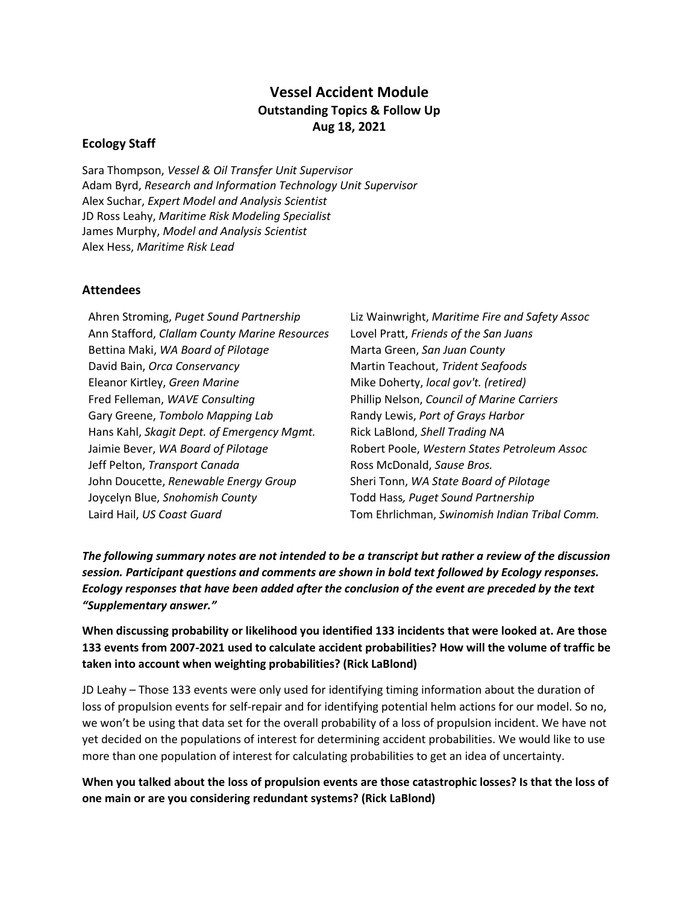# **Vessel Accident Module Outstanding Topics & Follow Up Aug 18, 2021**

# **Ecology Staff**

Sara Thompson, *Vessel & Oil Transfer Unit Supervisor* Adam Byrd, *Research and Information Technology Unit Supervisor* Alex Suchar, *Expert Model and Analysis Scientist* JD Ross Leahy, *Maritime Risk Modeling Specialist* James Murphy, *Model and Analysis Scientist* Alex Hess, *Maritime Risk Lead*

#### **Attendees**

Ann Stafford, *Clallam County Marine Resources* Lovel Pratt, *Friends of the San Juans* Bettina Maki, *WA Board of Pilotage* Marta Green, *San Juan County* David Bain, *Orca Conservancy* Martin Teachout, *Trident Seafoods* Eleanor Kirtley, *Green Marine* Mike Doherty, *local gov't. (retired)* Fred Felleman, *WAVE Consulting* Phillip Nelson, *Council of Marine Carriers* Gary Greene, *Tombolo Mapping Lab* Randy Lewis, *Port of Grays Harbor* Hans Kahl, *Skagit Dept. of Emergency Mgmt.* Rick LaBlond, *Shell Trading NA* Jaimie Bever, *WA Board of Pilotage* Robert Poole, *Western States Petroleum Assoc* Jeff Pelton, *Transport Canada* Ross McDonald, *Sause Bros.* John Doucette, *Renewable Energy Group* Sheri Tonn, *WA State Board of Pilotage* Joycelyn Blue, *Snohomish County* Todd Hass*, Puget Sound Partnership*

Ahren Stroming, *Puget Sound Partnership* Liz Wainwright, *Maritime Fire and Safety Assoc* Laird Hail, *US Coast Guard* Tom Ehrlichman, *Swinomish Indian Tribal Comm.*

*The following summary notes are not intended to be a transcript but rather a review of the discussion session. Participant questions and comments are shown in bold text followed by Ecology responses. Ecology responses that have been added after the conclusion of the event are preceded by the text "Supplementary answer."*

# **When discussing probability or likelihood you identified 133 incidents that were looked at. Are those 133 events from 2007-2021 used to calculate accident probabilities? How will the volume of traffic be taken into account when weighting probabilities? (Rick LaBlond)**

JD Leahy – Those 133 events were only used for identifying timing information about the duration of loss of propulsion events for self-repair and for identifying potential helm actions for our model. So no, we won't be using that data set for the overall probability of a loss of propulsion incident. We have not yet decided on the populations of interest for determining accident probabilities. We would like to use more than one population of interest for calculating probabilities to get an idea of uncertainty.

**When you talked about the loss of propulsion events are those catastrophic losses? Is that the loss of one main or are you considering redundant systems? (Rick LaBlond)**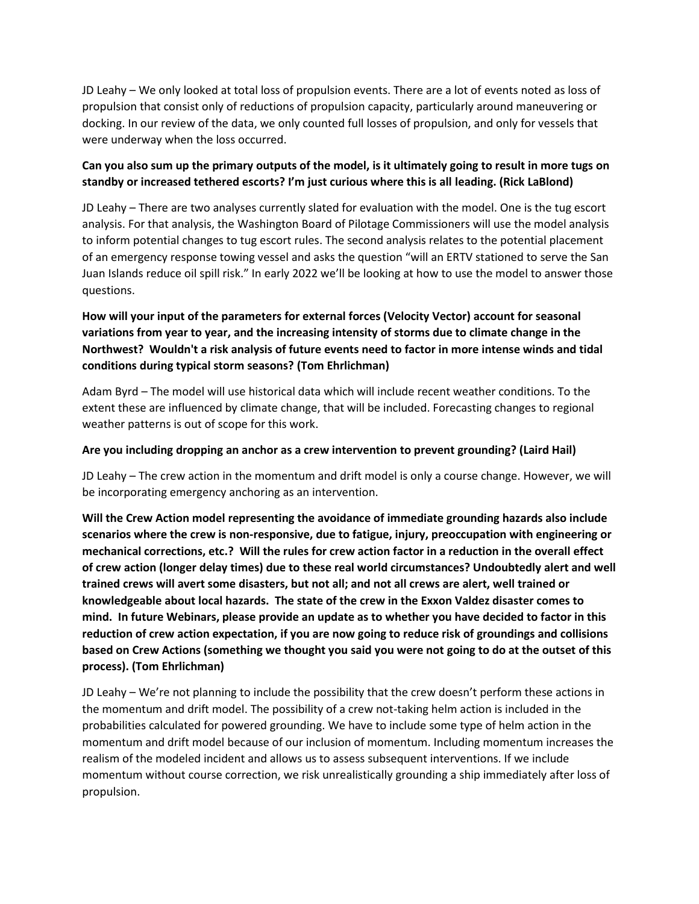JD Leahy – We only looked at total loss of propulsion events. There are a lot of events noted as loss of propulsion that consist only of reductions of propulsion capacity, particularly around maneuvering or docking. In our review of the data, we only counted full losses of propulsion, and only for vessels that were underway when the loss occurred.

# **Can you also sum up the primary outputs of the model, is it ultimately going to result in more tugs on standby or increased tethered escorts? I'm just curious where this is all leading. (Rick LaBlond)**

JD Leahy – There are two analyses currently slated for evaluation with the model. One is the tug escort analysis. For that analysis, the Washington Board of Pilotage Commissioners will use the model analysis to inform potential changes to tug escort rules. The second analysis relates to the potential placement of an emergency response towing vessel and asks the question "will an ERTV stationed to serve the San Juan Islands reduce oil spill risk." In early 2022 we'll be looking at how to use the model to answer those questions.

# **How will your input of the parameters for external forces (Velocity Vector) account for seasonal variations from year to year, and the increasing intensity of storms due to climate change in the Northwest? Wouldn't a risk analysis of future events need to factor in more intense winds and tidal conditions during typical storm seasons? (Tom Ehrlichman)**

Adam Byrd – The model will use historical data which will include recent weather conditions. To the extent these are influenced by climate change, that will be included. Forecasting changes to regional weather patterns is out of scope for this work.

## **Are you including dropping an anchor as a crew intervention to prevent grounding? (Laird Hail)**

JD Leahy – The crew action in the momentum and drift model is only a course change. However, we will be incorporating emergency anchoring as an intervention.

**Will the Crew Action model representing the avoidance of immediate grounding hazards also include scenarios where the crew is non-responsive, due to fatigue, injury, preoccupation with engineering or mechanical corrections, etc.? Will the rules for crew action factor in a reduction in the overall effect of crew action (longer delay times) due to these real world circumstances? Undoubtedly alert and well trained crews will avert some disasters, but not all; and not all crews are alert, well trained or knowledgeable about local hazards. The state of the crew in the Exxon Valdez disaster comes to mind. In future Webinars, please provide an update as to whether you have decided to factor in this reduction of crew action expectation, if you are now going to reduce risk of groundings and collisions based on Crew Actions (something we thought you said you were not going to do at the outset of this process). (Tom Ehrlichman)** 

JD Leahy – We're not planning to include the possibility that the crew doesn't perform these actions in the momentum and drift model. The possibility of a crew not-taking helm action is included in the probabilities calculated for powered grounding. We have to include some type of helm action in the momentum and drift model because of our inclusion of momentum. Including momentum increases the realism of the modeled incident and allows us to assess subsequent interventions. If we include momentum without course correction, we risk unrealistically grounding a ship immediately after loss of propulsion.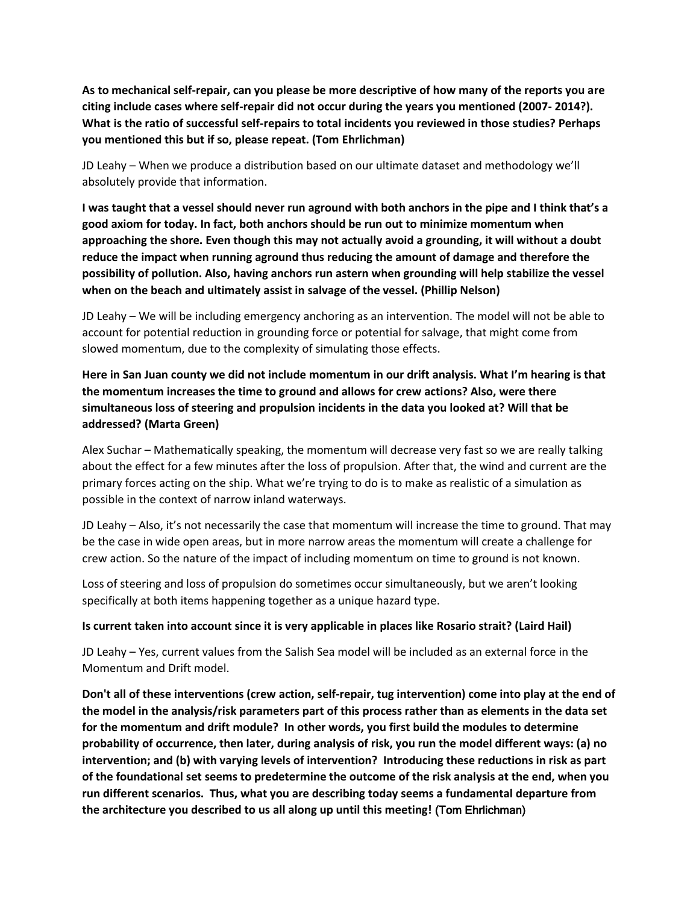**As to mechanical self-repair, can you please be more descriptive of how many of the reports you are citing include cases where self-repair did not occur during the years you mentioned (2007- 2014?). What is the ratio of successful self-repairs to total incidents you reviewed in those studies? Perhaps you mentioned this but if so, please repeat. (Tom Ehrlichman)** 

JD Leahy – When we produce a distribution based on our ultimate dataset and methodology we'll absolutely provide that information.

**I was taught that a vessel should never run aground with both anchors in the pipe and I think that's a good axiom for today. In fact, both anchors should be run out to minimize momentum when approaching the shore. Even though this may not actually avoid a grounding, it will without a doubt reduce the impact when running aground thus reducing the amount of damage and therefore the possibility of pollution. Also, having anchors run astern when grounding will help stabilize the vessel when on the beach and ultimately assist in salvage of the vessel. (Phillip Nelson)**

JD Leahy – We will be including emergency anchoring as an intervention. The model will not be able to account for potential reduction in grounding force or potential for salvage, that might come from slowed momentum, due to the complexity of simulating those effects.

**Here in San Juan county we did not include momentum in our drift analysis. What I'm hearing is that the momentum increases the time to ground and allows for crew actions? Also, were there simultaneous loss of steering and propulsion incidents in the data you looked at? Will that be addressed? (Marta Green)**

Alex Suchar – Mathematically speaking, the momentum will decrease very fast so we are really talking about the effect for a few minutes after the loss of propulsion. After that, the wind and current are the primary forces acting on the ship. What we're trying to do is to make as realistic of a simulation as possible in the context of narrow inland waterways.

JD Leahy – Also, it's not necessarily the case that momentum will increase the time to ground. That may be the case in wide open areas, but in more narrow areas the momentum will create a challenge for crew action. So the nature of the impact of including momentum on time to ground is not known.

Loss of steering and loss of propulsion do sometimes occur simultaneously, but we aren't looking specifically at both items happening together as a unique hazard type.

#### **Is current taken into account since it is very applicable in places like Rosario strait? (Laird Hail)**

JD Leahy – Yes, current values from the Salish Sea model will be included as an external force in the Momentum and Drift model.

**Don't all of these interventions (crew action, self-repair, tug intervention) come into play at the end of the model in the analysis/risk parameters part of this process rather than as elements in the data set for the momentum and drift module? In other words, you first build the modules to determine probability of occurrence, then later, during analysis of risk, you run the model different ways: (a) no intervention; and (b) with varying levels of intervention? Introducing these reductions in risk as part of the foundational set seems to predetermine the outcome of the risk analysis at the end, when you run different scenarios. Thus, what you are describing today seems a fundamental departure from the architecture you described to us all along up until this meeting!** (Tom Ehrlichman)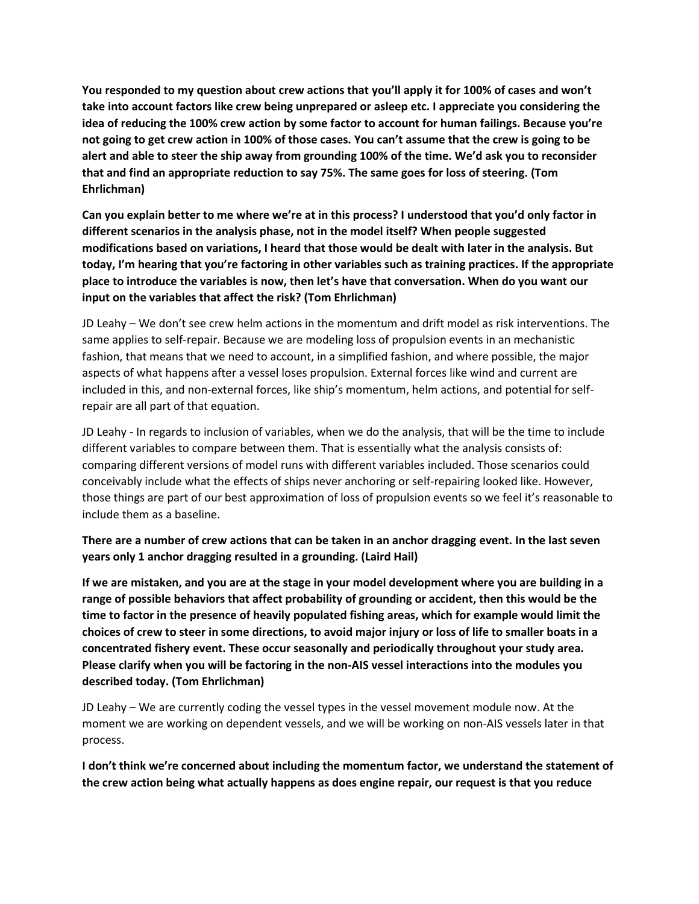**You responded to my question about crew actions that you'll apply it for 100% of cases and won't take into account factors like crew being unprepared or asleep etc. I appreciate you considering the idea of reducing the 100% crew action by some factor to account for human failings. Because you're not going to get crew action in 100% of those cases. You can't assume that the crew is going to be alert and able to steer the ship away from grounding 100% of the time. We'd ask you to reconsider that and find an appropriate reduction to say 75%. The same goes for loss of steering. (Tom Ehrlichman)**

**Can you explain better to me where we're at in this process? I understood that you'd only factor in different scenarios in the analysis phase, not in the model itself? When people suggested modifications based on variations, I heard that those would be dealt with later in the analysis. But today, I'm hearing that you're factoring in other variables such as training practices. If the appropriate place to introduce the variables is now, then let's have that conversation. When do you want our input on the variables that affect the risk? (Tom Ehrlichman)**

JD Leahy – We don't see crew helm actions in the momentum and drift model as risk interventions. The same applies to self-repair. Because we are modeling loss of propulsion events in an mechanistic fashion, that means that we need to account, in a simplified fashion, and where possible, the major aspects of what happens after a vessel loses propulsion. External forces like wind and current are included in this, and non-external forces, like ship's momentum, helm actions, and potential for selfrepair are all part of that equation.

JD Leahy - In regards to inclusion of variables, when we do the analysis, that will be the time to include different variables to compare between them. That is essentially what the analysis consists of: comparing different versions of model runs with different variables included. Those scenarios could conceivably include what the effects of ships never anchoring or self-repairing looked like. However, those things are part of our best approximation of loss of propulsion events so we feel it's reasonable to include them as a baseline.

**There are a number of crew actions that can be taken in an anchor dragging event. In the last seven years only 1 anchor dragging resulted in a grounding. (Laird Hail)**

**If we are mistaken, and you are at the stage in your model development where you are building in a range of possible behaviors that affect probability of grounding or accident, then this would be the time to factor in the presence of heavily populated fishing areas, which for example would limit the choices of crew to steer in some directions, to avoid major injury or loss of life to smaller boats in a concentrated fishery event. These occur seasonally and periodically throughout your study area. Please clarify when you will be factoring in the non-AIS vessel interactions into the modules you described today. (Tom Ehrlichman)**

JD Leahy – We are currently coding the vessel types in the vessel movement module now. At the moment we are working on dependent vessels, and we will be working on non-AIS vessels later in that process.

**I don't think we're concerned about including the momentum factor, we understand the statement of the crew action being what actually happens as does engine repair, our request is that you reduce**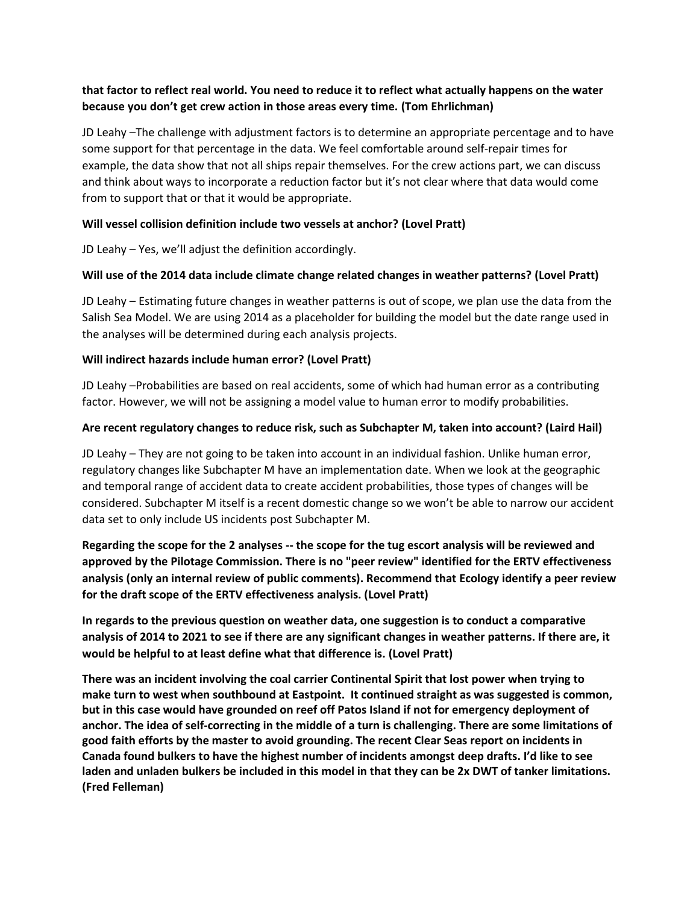# **that factor to reflect real world. You need to reduce it to reflect what actually happens on the water because you don't get crew action in those areas every time. (Tom Ehrlichman)**

JD Leahy –The challenge with adjustment factors is to determine an appropriate percentage and to have some support for that percentage in the data. We feel comfortable around self-repair times for example, the data show that not all ships repair themselves. For the crew actions part, we can discuss and think about ways to incorporate a reduction factor but it's not clear where that data would come from to support that or that it would be appropriate.

## **Will vessel collision definition include two vessels at anchor? (Lovel Pratt)**

JD Leahy – Yes, we'll adjust the definition accordingly.

## **Will use of the 2014 data include climate change related changes in weather patterns? (Lovel Pratt)**

JD Leahy – Estimating future changes in weather patterns is out of scope, we plan use the data from the Salish Sea Model. We are using 2014 as a placeholder for building the model but the date range used in the analyses will be determined during each analysis projects.

## **Will indirect hazards include human error? (Lovel Pratt)**

JD Leahy –Probabilities are based on real accidents, some of which had human error as a contributing factor. However, we will not be assigning a model value to human error to modify probabilities.

## **Are recent regulatory changes to reduce risk, such as Subchapter M, taken into account? (Laird Hail)**

JD Leahy – They are not going to be taken into account in an individual fashion. Unlike human error, regulatory changes like Subchapter M have an implementation date. When we look at the geographic and temporal range of accident data to create accident probabilities, those types of changes will be considered. Subchapter M itself is a recent domestic change so we won't be able to narrow our accident data set to only include US incidents post Subchapter M.

**Regarding the scope for the 2 analyses -- the scope for the tug escort analysis will be reviewed and approved by the Pilotage Commission. There is no "peer review" identified for the ERTV effectiveness analysis (only an internal review of public comments). Recommend that Ecology identify a peer review for the draft scope of the ERTV effectiveness analysis. (Lovel Pratt)**

**In regards to the previous question on weather data, one suggestion is to conduct a comparative analysis of 2014 to 2021 to see if there are any significant changes in weather patterns. If there are, it would be helpful to at least define what that difference is. (Lovel Pratt)**

**There was an incident involving the coal carrier Continental Spirit that lost power when trying to make turn to west when southbound at Eastpoint. It continued straight as was suggested is common, but in this case would have grounded on reef off Patos Island if not for emergency deployment of anchor. The idea of self-correcting in the middle of a turn is challenging. There are some limitations of good faith efforts by the master to avoid grounding. The recent Clear Seas report on incidents in Canada found bulkers to have the highest number of incidents amongst deep drafts. I'd like to see laden and unladen bulkers be included in this model in that they can be 2x DWT of tanker limitations. (Fred Felleman)**